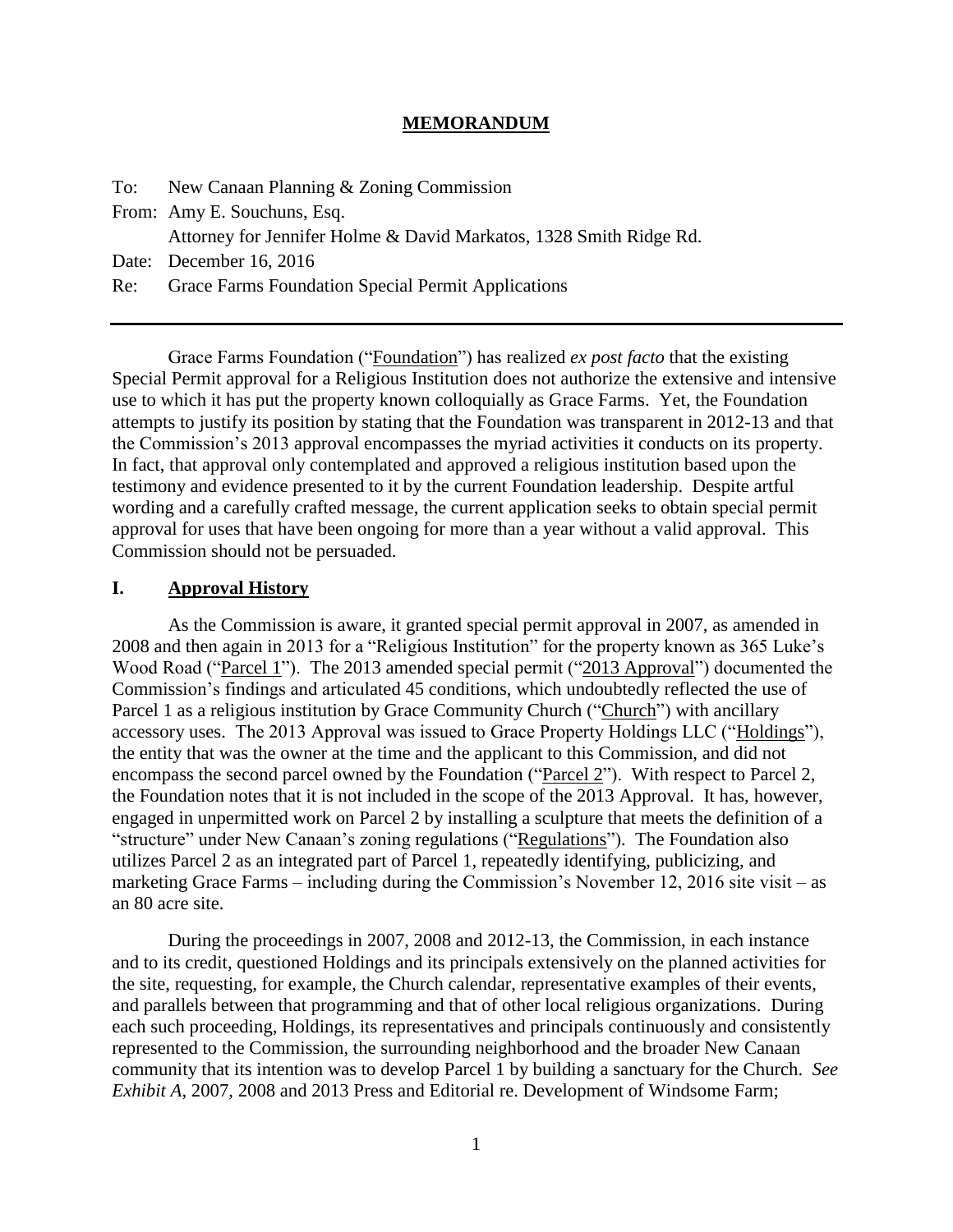#### **MEMORANDUM**

|     | To: New Canaan Planning & Zoning Commission                        |
|-----|--------------------------------------------------------------------|
|     | From: Amy E. Souchuns, Esq.                                        |
|     | Attorney for Jennifer Holme & David Markatos, 1328 Smith Ridge Rd. |
|     | Date: December 16, 2016                                            |
| Re: | Grace Farms Foundation Special Permit Applications                 |

Grace Farms Foundation ("Foundation") has realized *ex post facto* that the existing Special Permit approval for a Religious Institution does not authorize the extensive and intensive use to which it has put the property known colloquially as Grace Farms. Yet, the Foundation attempts to justify its position by stating that the Foundation was transparent in 2012-13 and that the Commission's 2013 approval encompasses the myriad activities it conducts on its property. In fact, that approval only contemplated and approved a religious institution based upon the testimony and evidence presented to it by the current Foundation leadership. Despite artful wording and a carefully crafted message, the current application seeks to obtain special permit approval for uses that have been ongoing for more than a year without a valid approval. This Commission should not be persuaded.

#### **I. Approval History**

As the Commission is aware, it granted special permit approval in 2007, as amended in 2008 and then again in 2013 for a "Religious Institution" for the property known as 365 Luke's Wood Road ("Parcel 1"). The 2013 amended special permit ("2013 Approval") documented the Commission's findings and articulated 45 conditions, which undoubtedly reflected the use of Parcel 1 as a religious institution by Grace Community Church ("Church") with ancillary accessory uses. The 2013 Approval was issued to Grace Property Holdings LLC ("Holdings"), the entity that was the owner at the time and the applicant to this Commission, and did not encompass the second parcel owned by the Foundation ("Parcel 2"). With respect to Parcel 2, the Foundation notes that it is not included in the scope of the 2013 Approval. It has, however, engaged in unpermitted work on Parcel 2 by installing a sculpture that meets the definition of a "structure" under New Canaan's zoning regulations ("Regulations"). The Foundation also utilizes Parcel 2 as an integrated part of Parcel 1, repeatedly identifying, publicizing, and marketing Grace Farms – including during the Commission's November 12, 2016 site visit – as an 80 acre site.

During the proceedings in 2007, 2008 and 2012-13, the Commission, in each instance and to its credit, questioned Holdings and its principals extensively on the planned activities for the site, requesting, for example, the Church calendar, representative examples of their events, and parallels between that programming and that of other local religious organizations. During each such proceeding, Holdings, its representatives and principals continuously and consistently represented to the Commission, the surrounding neighborhood and the broader New Canaan community that its intention was to develop Parcel 1 by building a sanctuary for the Church. *See Exhibit A,* 2007, 2008 and 2013 Press and Editorial re. Development of Windsome Farm;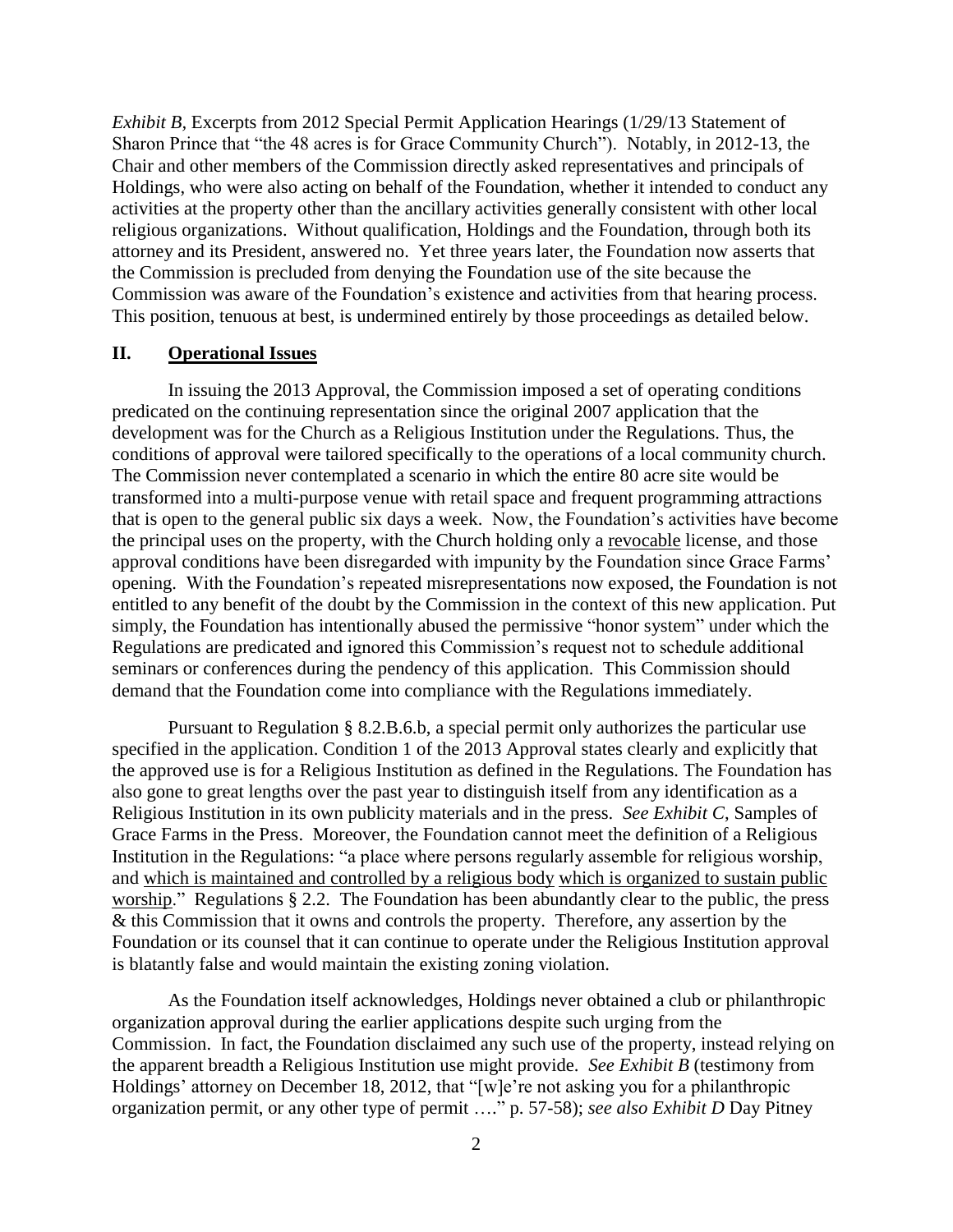*Exhibit B,* Excerpts from 2012 Special Permit Application Hearings (1/29/13 Statement of Sharon Prince that "the 48 acres is for Grace Community Church"). Notably, in 2012-13, the Chair and other members of the Commission directly asked representatives and principals of Holdings, who were also acting on behalf of the Foundation, whether it intended to conduct any activities at the property other than the ancillary activities generally consistent with other local religious organizations. Without qualification, Holdings and the Foundation, through both its attorney and its President, answered no. Yet three years later, the Foundation now asserts that the Commission is precluded from denying the Foundation use of the site because the Commission was aware of the Foundation's existence and activities from that hearing process. This position, tenuous at best, is undermined entirely by those proceedings as detailed below.

### **II. Operational Issues**

In issuing the 2013 Approval, the Commission imposed a set of operating conditions predicated on the continuing representation since the original 2007 application that the development was for the Church as a Religious Institution under the Regulations. Thus, the conditions of approval were tailored specifically to the operations of a local community church. The Commission never contemplated a scenario in which the entire 80 acre site would be transformed into a multi-purpose venue with retail space and frequent programming attractions that is open to the general public six days a week. Now, the Foundation's activities have become the principal uses on the property, with the Church holding only a revocable license, and those approval conditions have been disregarded with impunity by the Foundation since Grace Farms' opening. With the Foundation's repeated misrepresentations now exposed, the Foundation is not entitled to any benefit of the doubt by the Commission in the context of this new application. Put simply, the Foundation has intentionally abused the permissive "honor system" under which the Regulations are predicated and ignored this Commission's request not to schedule additional seminars or conferences during the pendency of this application. This Commission should demand that the Foundation come into compliance with the Regulations immediately.

Pursuant to Regulation § 8.2.B.6.b, a special permit only authorizes the particular use specified in the application. Condition 1 of the 2013 Approval states clearly and explicitly that the approved use is for a Religious Institution as defined in the Regulations*.* The Foundation has also gone to great lengths over the past year to distinguish itself from any identification as a Religious Institution in its own publicity materials and in the press. *See Exhibit C*, Samples of Grace Farms in the Press. Moreover, the Foundation cannot meet the definition of a Religious Institution in the Regulations: "a place where persons regularly assemble for religious worship, and which is maintained and controlled by a religious body which is organized to sustain public worship." Regulations § 2.2. The Foundation has been abundantly clear to the public, the press & this Commission that it owns and controls the property. Therefore, any assertion by the Foundation or its counsel that it can continue to operate under the Religious Institution approval is blatantly false and would maintain the existing zoning violation.

As the Foundation itself acknowledges, Holdings never obtained a club or philanthropic organization approval during the earlier applications despite such urging from the Commission. In fact, the Foundation disclaimed any such use of the property, instead relying on the apparent breadth a Religious Institution use might provide. *See Exhibit B* (testimony from Holdings' attorney on December 18, 2012, that "[w]e're not asking you for a philanthropic organization permit, or any other type of permit …." p. 57-58); *see also Exhibit D* Day Pitney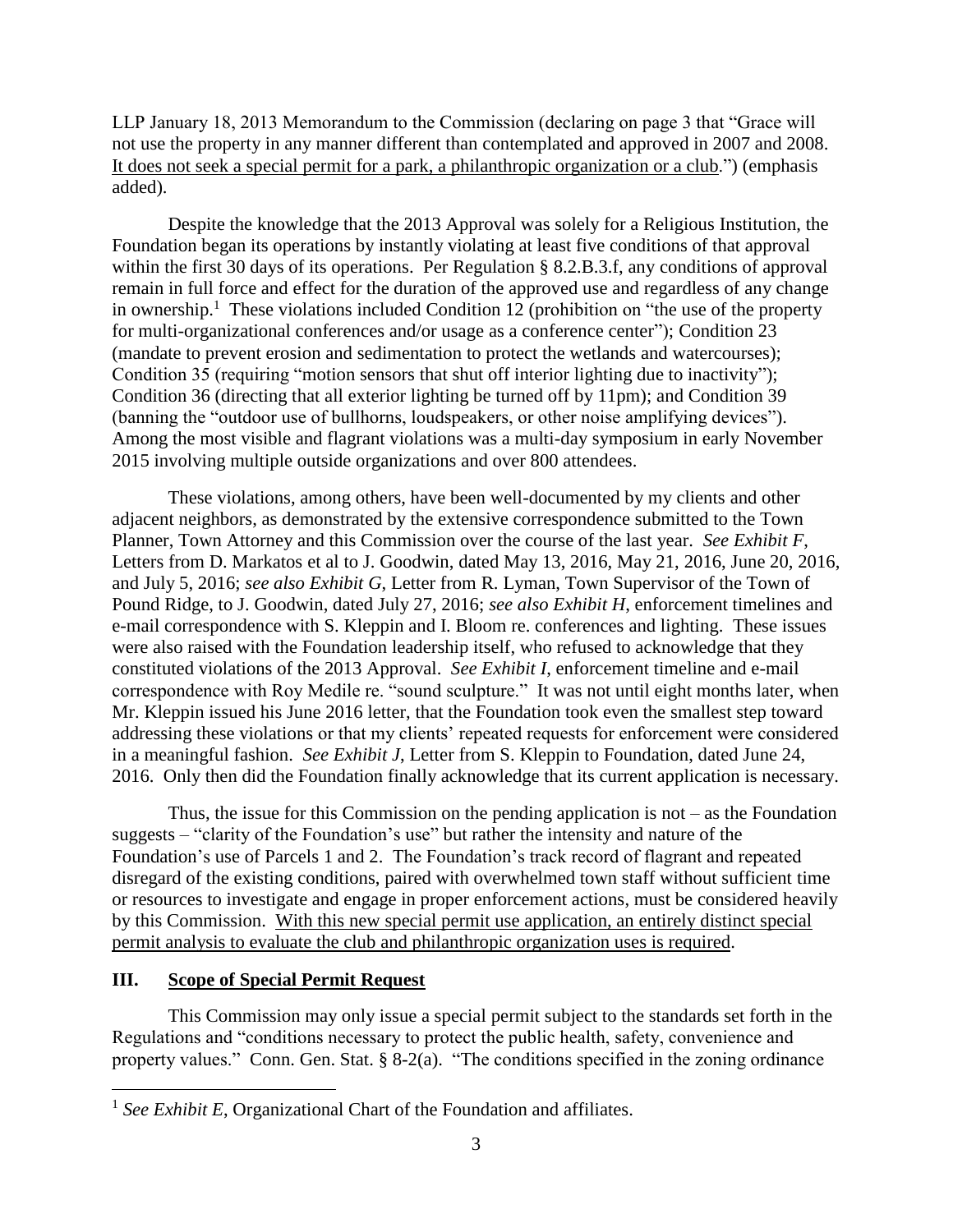LLP January 18, 2013 Memorandum to the Commission (declaring on page 3 that "Grace will not use the property in any manner different than contemplated and approved in 2007 and 2008. It does not seek a special permit for a park, a philanthropic organization or a club.") (emphasis added).

Despite the knowledge that the 2013 Approval was solely for a Religious Institution, the Foundation began its operations by instantly violating at least five conditions of that approval within the first 30 days of its operations. Per Regulation § 8.2.B.3.f, any conditions of approval remain in full force and effect for the duration of the approved use and regardless of any change in ownership.<sup>1</sup> These violations included Condition 12 (prohibition on "the use of the property for multi-organizational conferences and/or usage as a conference center"); Condition 23 (mandate to prevent erosion and sedimentation to protect the wetlands and watercourses); Condition 35 (requiring "motion sensors that shut off interior lighting due to inactivity"); Condition 36 (directing that all exterior lighting be turned off by 11pm); and Condition 39 (banning the "outdoor use of bullhorns, loudspeakers, or other noise amplifying devices"). Among the most visible and flagrant violations was a multi-day symposium in early November 2015 involving multiple outside organizations and over 800 attendees.

These violations, among others, have been well-documented by my clients and other adjacent neighbors, as demonstrated by the extensive correspondence submitted to the Town Planner, Town Attorney and this Commission over the course of the last year. *See Exhibit F*, Letters from D. Markatos et al to J. Goodwin, dated May 13, 2016, May 21, 2016, June 20, 2016, and July 5, 2016; *see also Exhibit G*, Letter from R. Lyman, Town Supervisor of the Town of Pound Ridge, to J. Goodwin, dated July 27, 2016; *see also Exhibit H*, enforcement timelines and e-mail correspondence with S. Kleppin and I. Bloom re. conferences and lighting. These issues were also raised with the Foundation leadership itself, who refused to acknowledge that they constituted violations of the 2013 Approval. *See Exhibit I*, enforcement timeline and e-mail correspondence with Roy Medile re. "sound sculpture." It was not until eight months later, when Mr. Kleppin issued his June 2016 letter, that the Foundation took even the smallest step toward addressing these violations or that my clients' repeated requests for enforcement were considered in a meaningful fashion. *See Exhibit J*, Letter from S. Kleppin to Foundation, dated June 24, 2016. Only then did the Foundation finally acknowledge that its current application is necessary.

Thus, the issue for this Commission on the pending application is not  $-$  as the Foundation suggests – "clarity of the Foundation's use" but rather the intensity and nature of the Foundation's use of Parcels 1 and 2. The Foundation's track record of flagrant and repeated disregard of the existing conditions, paired with overwhelmed town staff without sufficient time or resources to investigate and engage in proper enforcement actions, must be considered heavily by this Commission. With this new special permit use application, an entirely distinct special permit analysis to evaluate the club and philanthropic organization uses is required.

# **III. Scope of Special Permit Request**

 $\overline{a}$ 

This Commission may only issue a special permit subject to the standards set forth in the Regulations and "conditions necessary to protect the public health, safety, convenience and property values." Conn. Gen. Stat. § 8-2(a). "The conditions specified in the zoning ordinance

<sup>&</sup>lt;sup>1</sup> See Exhibit E, Organizational Chart of the Foundation and affiliates.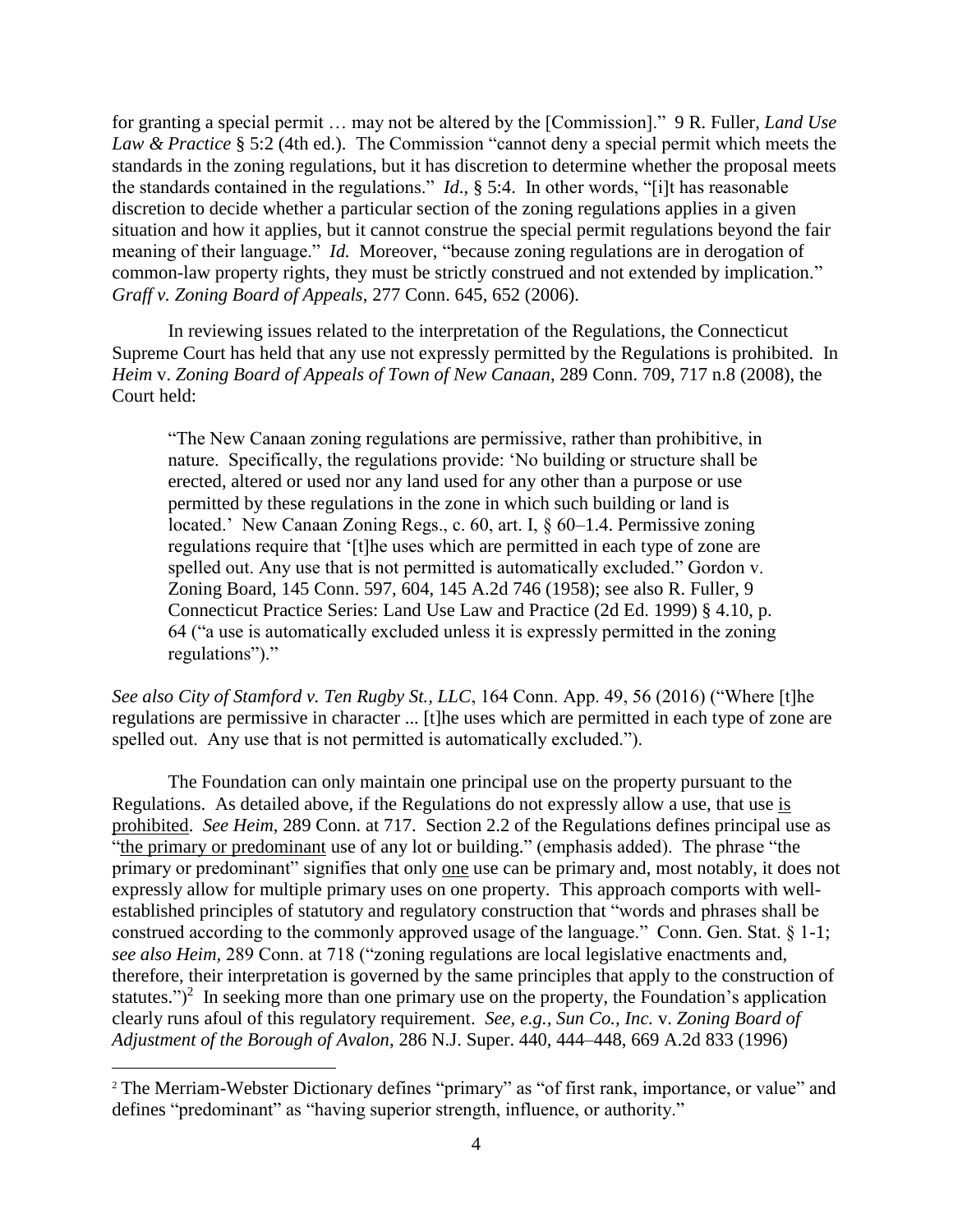for granting a special permit … may not be altered by the [Commission]." 9 R. Fuller, *Land Use Law & Practice* § 5:2 (4th ed.). The Commission "cannot deny a special permit which meets the standards in the zoning regulations, but it has discretion to determine whether the proposal meets the standards contained in the regulations." *Id*., § 5:4. In other words, "[i]t has reasonable discretion to decide whether a particular section of the zoning regulations applies in a given situation and how it applies, but it cannot construe the special permit regulations beyond the fair meaning of their language." *Id.* Moreover, "because zoning regulations are in derogation of common-law property rights, they must be strictly construed and not extended by implication." *Graff v. Zoning Board of Appeals*, 277 Conn. 645, 652 (2006).

In reviewing issues related to the interpretation of the Regulations, the Connecticut Supreme Court has held that any use not expressly permitted by the Regulations is prohibited. In *Heim* v. *Zoning Board of Appeals of Town of New Canaan*, 289 Conn. 709, 717 n.8 (2008), the Court held:

"The New Canaan zoning regulations are permissive, rather than prohibitive, in nature. Specifically, the regulations provide: 'No building or structure shall be erected, altered or used nor any land used for any other than a purpose or use permitted by these regulations in the zone in which such building or land is located.' New Canaan Zoning Regs., c. 60, art. I,  $\frac{60}{-1.4}$ . Permissive zoning regulations require that '[t]he uses which are permitted in each type of zone are spelled out. Any use that is not permitted is automatically excluded." Gordon v. Zoning Board, 145 Conn. 597, 604, 145 A.2d 746 (1958); see also R. Fuller, 9 Connecticut Practice Series: Land Use Law and Practice (2d Ed. 1999) § 4.10, p. 64 ("a use is automatically excluded unless it is expressly permitted in the zoning regulations")."

*See also City of Stamford v. Ten Rugby St., LLC*, 164 Conn. App. 49, 56 (2016) ("Where [t]he regulations are permissive in character ... [t]he uses which are permitted in each type of zone are spelled out. Any use that is not permitted is automatically excluded.").

The Foundation can only maintain one principal use on the property pursuant to the Regulations. As detailed above, if the Regulations do not expressly allow a use, that use is prohibited. *See Heim*, 289 Conn. at 717.Section 2.2 of the Regulations defines principal use as "the primary or predominant use of any lot or building." (emphasis added). The phrase "the primary or predominant" signifies that only one use can be primary and, most notably, it does not expressly allow for multiple primary uses on one property. This approach comports with wellestablished principles of statutory and regulatory construction that "words and phrases shall be construed according to the commonly approved usage of the language." Conn. Gen. Stat. § 1-1; *see also Heim,* 289 Conn. at 718 ("zoning regulations are local legislative enactments and, therefore, their interpretation is governed by the same principles that apply to the construction of statutes.")<sup>2</sup> In seeking more than one primary use on the property, the Foundation's application clearly runs afoul of this regulatory requirement. *See, e.g., Sun Co., Inc.* v. *Zoning Board of Adjustment of the Borough of Avalon*, 286 N.J. Super. 440, 444–448, 669 A.2d 833 (1996)

 $\overline{a}$ 

<sup>&</sup>lt;sup>2</sup> The Merriam-Webster Dictionary defines "primary" as "of first rank, importance, or value" and defines "predominant" as "having superior strength, influence, or authority."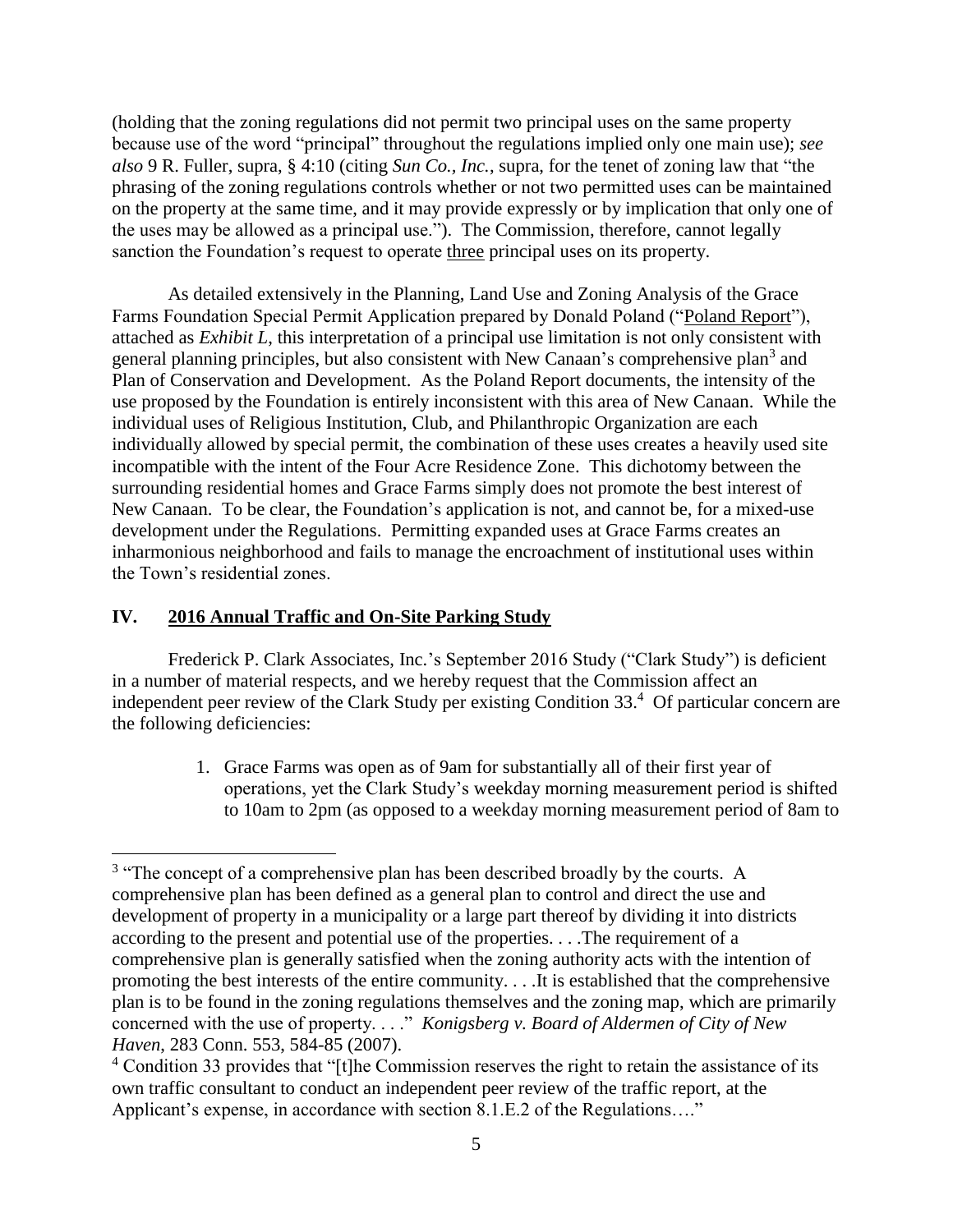(holding that the zoning regulations did not permit two principal uses on the same property because use of the word "principal" throughout the regulations implied only one main use); *see also* 9 R. Fuller, supra, § 4:10 (citing *Sun Co., Inc.*, supra, for the tenet of zoning law that "the phrasing of the zoning regulations controls whether or not two permitted uses can be maintained on the property at the same time, and it may provide expressly or by implication that only one of the uses may be allowed as a principal use."). The Commission, therefore, cannot legally sanction the Foundation's request to operate three principal uses on its property.

As detailed extensively in the Planning, Land Use and Zoning Analysis of the Grace Farms Foundation Special Permit Application prepared by Donald Poland ("Poland Report"), attached as *Exhibit L*, this interpretation of a principal use limitation is not only consistent with general planning principles, but also consistent with New Canaan's comprehensive plan<sup>3</sup> and Plan of Conservation and Development. As the Poland Report documents, the intensity of the use proposed by the Foundation is entirely inconsistent with this area of New Canaan. While the individual uses of Religious Institution, Club, and Philanthropic Organization are each individually allowed by special permit, the combination of these uses creates a heavily used site incompatible with the intent of the Four Acre Residence Zone. This dichotomy between the surrounding residential homes and Grace Farms simply does not promote the best interest of New Canaan. To be clear, the Foundation's application is not, and cannot be, for a mixed-use development under the Regulations. Permitting expanded uses at Grace Farms creates an inharmonious neighborhood and fails to manage the encroachment of institutional uses within the Town's residential zones.

## **IV. 2016 Annual Traffic and On-Site Parking Study**

 $\overline{a}$ 

Frederick P. Clark Associates, Inc.'s September 2016 Study ("Clark Study") is deficient in a number of material respects, and we hereby request that the Commission affect an independent peer review of the Clark Study per existing Condition 33.<sup>4</sup> Of particular concern are the following deficiencies:

> 1. Grace Farms was open as of 9am for substantially all of their first year of operations, yet the Clark Study's weekday morning measurement period is shifted to 10am to 2pm (as opposed to a weekday morning measurement period of 8am to

 $3$  "The concept of a comprehensive plan has been described broadly by the courts. A comprehensive plan has been defined as a general plan to control and direct the use and development of property in a municipality or a large part thereof by dividing it into districts according to the present and potential use of the properties. . . .The requirement of a comprehensive plan is generally satisfied when the zoning authority acts with the intention of promoting the best interests of the entire community. . . .It is established that the comprehensive plan is to be found in the zoning regulations themselves and the zoning map, which are primarily concerned with the use of property. . . ." *Konigsberg v. Board of Aldermen of City of New Haven*, 283 Conn. 553, 584-85 (2007).

<sup>&</sup>lt;sup>4</sup> Condition 33 provides that "[t]he Commission reserves the right to retain the assistance of its own traffic consultant to conduct an independent peer review of the traffic report, at the Applicant's expense, in accordance with section 8.1.E.2 of the Regulations…."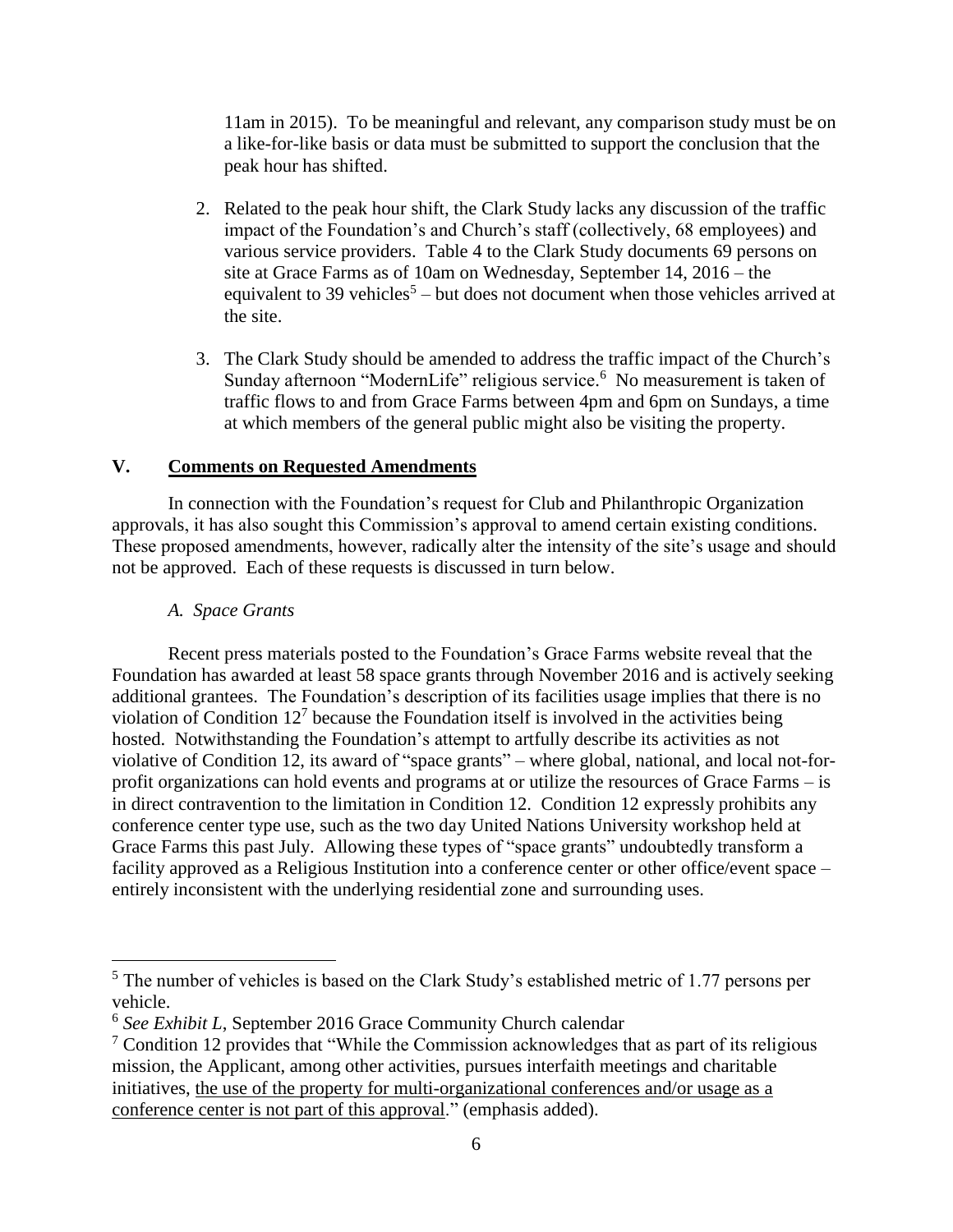11am in 2015). To be meaningful and relevant, any comparison study must be on a like-for-like basis or data must be submitted to support the conclusion that the peak hour has shifted.

- 2. Related to the peak hour shift, the Clark Study lacks any discussion of the traffic impact of the Foundation's and Church's staff (collectively, 68 employees) and various service providers. Table 4 to the Clark Study documents 69 persons on site at Grace Farms as of 10am on Wednesday, September 14, 2016 – the equivalent to 39 vehicles<sup>5</sup> – but does not document when those vehicles arrived at the site.
- 3. The Clark Study should be amended to address the traffic impact of the Church's Sunday afternoon "ModernLife" religious service.<sup>6</sup> No measurement is taken of traffic flows to and from Grace Farms between 4pm and 6pm on Sundays, a time at which members of the general public might also be visiting the property.

## **V. Comments on Requested Amendments**

In connection with the Foundation's request for Club and Philanthropic Organization approvals, it has also sought this Commission's approval to amend certain existing conditions. These proposed amendments, however, radically alter the intensity of the site's usage and should not be approved. Each of these requests is discussed in turn below.

## *A. Space Grants*

 $\overline{a}$ 

Recent press materials posted to the Foundation's Grace Farms website reveal that the Foundation has awarded at least 58 space grants through November 2016 and is actively seeking additional grantees. The Foundation's description of its facilities usage implies that there is no violation of Condition  $12<sup>7</sup>$  because the Foundation itself is involved in the activities being hosted. Notwithstanding the Foundation's attempt to artfully describe its activities as not violative of Condition 12, its award of "space grants" – where global, national, and local not-forprofit organizations can hold events and programs at or utilize the resources of Grace Farms – is in direct contravention to the limitation in Condition 12. Condition 12 expressly prohibits any conference center type use, such as the two day United Nations University workshop held at Grace Farms this past July. Allowing these types of "space grants" undoubtedly transform a facility approved as a Religious Institution into a conference center or other office/event space – entirely inconsistent with the underlying residential zone and surrounding uses.

 $<sup>5</sup>$  The number of vehicles is based on the Clark Study's established metric of 1.77 persons per</sup> vehicle.

<sup>6</sup> *See Exhibit L*, September 2016 Grace Community Church calendar

 $\frac{7}{1}$  Condition 12 provides that "While the Commission acknowledges that as part of its religious mission, the Applicant, among other activities, pursues interfaith meetings and charitable initiatives, the use of the property for multi-organizational conferences and/or usage as a conference center is not part of this approval." (emphasis added).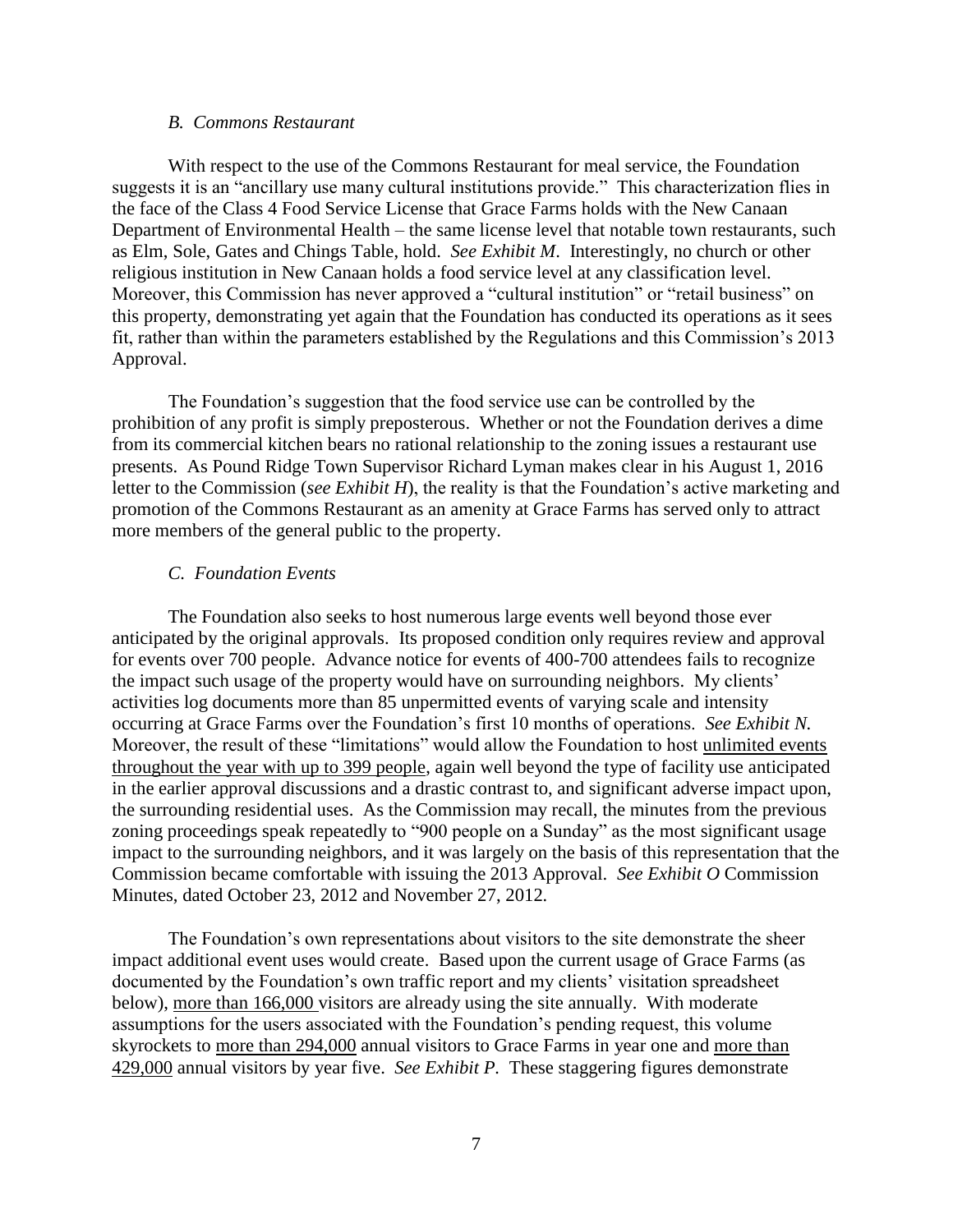#### *B. Commons Restaurant*

With respect to the use of the Commons Restaurant for meal service, the Foundation suggests it is an "ancillary use many cultural institutions provide." This characterization flies in the face of the Class 4 Food Service License that Grace Farms holds with the New Canaan Department of Environmental Health – the same license level that notable town restaurants, such as Elm, Sole, Gates and Chings Table, hold. *See Exhibit M*. Interestingly, no church or other religious institution in New Canaan holds a food service level at any classification level. Moreover, this Commission has never approved a "cultural institution" or "retail business" on this property, demonstrating yet again that the Foundation has conducted its operations as it sees fit, rather than within the parameters established by the Regulations and this Commission's 2013 Approval.

The Foundation's suggestion that the food service use can be controlled by the prohibition of any profit is simply preposterous. Whether or not the Foundation derives a dime from its commercial kitchen bears no rational relationship to the zoning issues a restaurant use presents. As Pound Ridge Town Supervisor Richard Lyman makes clear in his August 1, 2016 letter to the Commission (*see Exhibit H*), the reality is that the Foundation's active marketing and promotion of the Commons Restaurant as an amenity at Grace Farms has served only to attract more members of the general public to the property.

#### *C. Foundation Events*

The Foundation also seeks to host numerous large events well beyond those ever anticipated by the original approvals. Its proposed condition only requires review and approval for events over 700 people. Advance notice for events of 400-700 attendees fails to recognize the impact such usage of the property would have on surrounding neighbors. My clients' activities log documents more than 85 unpermitted events of varying scale and intensity occurring at Grace Farms over the Foundation's first 10 months of operations. *See Exhibit N.* Moreover, the result of these "limitations" would allow the Foundation to host unlimited events throughout the year with up to 399 people, again well beyond the type of facility use anticipated in the earlier approval discussions and a drastic contrast to, and significant adverse impact upon, the surrounding residential uses. As the Commission may recall, the minutes from the previous zoning proceedings speak repeatedly to "900 people on a Sunday" as the most significant usage impact to the surrounding neighbors, and it was largely on the basis of this representation that the Commission became comfortable with issuing the 2013 Approval. *See Exhibit O* Commission Minutes, dated October 23, 2012 and November 27, 2012*.*

The Foundation's own representations about visitors to the site demonstrate the sheer impact additional event uses would create. Based upon the current usage of Grace Farms (as documented by the Foundation's own traffic report and my clients' visitation spreadsheet below), more than 166,000 visitors are already using the site annually. With moderate assumptions for the users associated with the Foundation's pending request, this volume skyrockets to more than 294,000 annual visitors to Grace Farms in year one and more than 429,000 annual visitors by year five. *See Exhibit P.* These staggering figures demonstrate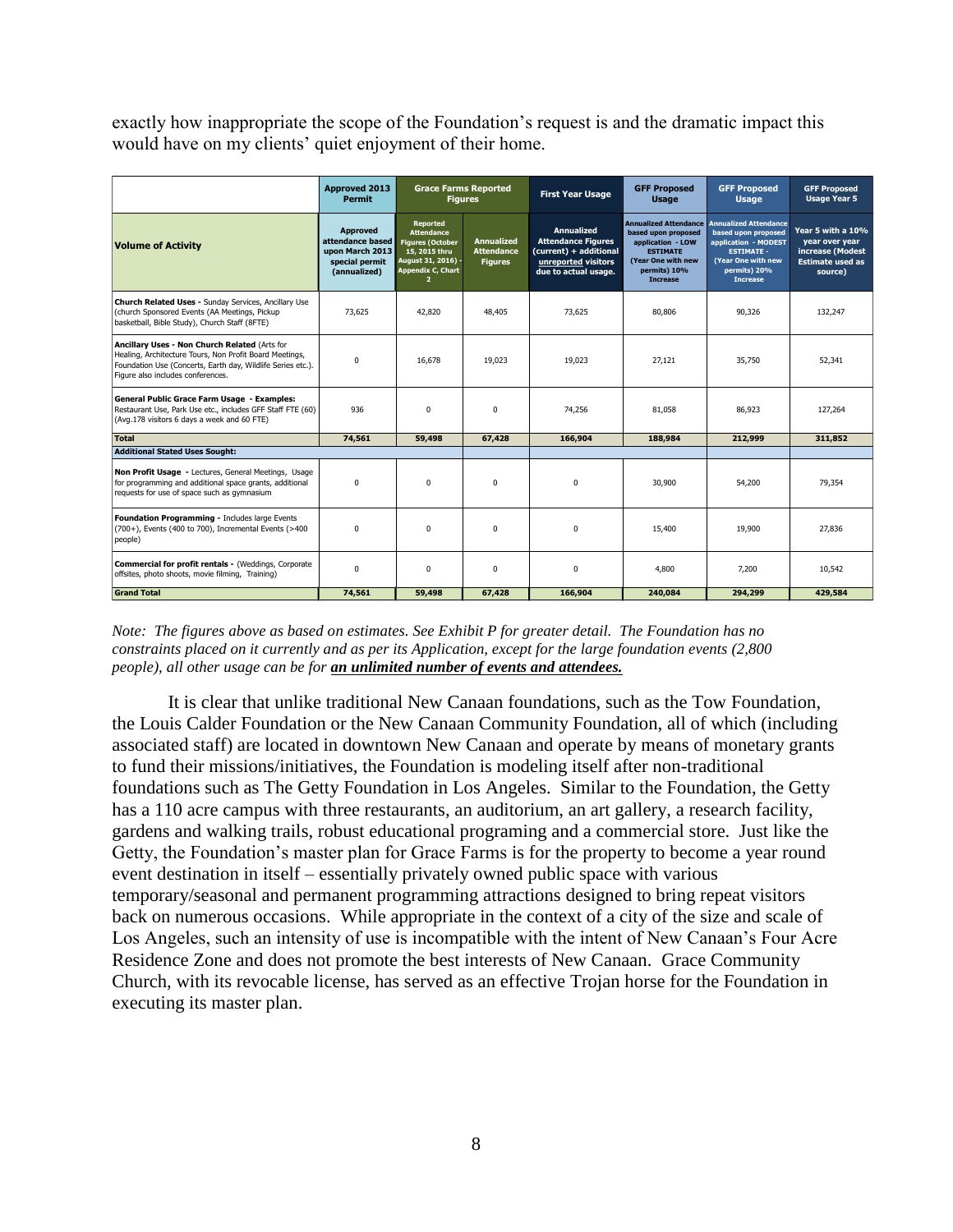exactly how inappropriate the scope of the Foundation's request is and the dramatic impact this would have on my clients' quiet enjoyment of their home.

|                                                                                                                                                                                                              | <b>Approved 2013</b><br><b>Permit</b>                                                    | <b>Grace Farms Reported</b><br><b>Figures</b>                                                                                                 |                                                          | <b>First Year Usage</b>                                                                                                 | <b>GFF Proposed</b><br><b>Usage</b>                                                                                                                  | <b>GFF Proposed</b><br><b>Usage</b>                                                                                                                       | <b>GFF Proposed</b><br><b>Usage Year 5</b>                                                    |
|--------------------------------------------------------------------------------------------------------------------------------------------------------------------------------------------------------------|------------------------------------------------------------------------------------------|-----------------------------------------------------------------------------------------------------------------------------------------------|----------------------------------------------------------|-------------------------------------------------------------------------------------------------------------------------|------------------------------------------------------------------------------------------------------------------------------------------------------|-----------------------------------------------------------------------------------------------------------------------------------------------------------|-----------------------------------------------------------------------------------------------|
| <b>Volume of Activity</b>                                                                                                                                                                                    | <b>Approved</b><br>attendance based<br>upon March 2013<br>special permit<br>(annualized) | Reported<br><b>Attendance</b><br><b>Figures (October</b><br>15, 2015 thru<br>August 31, 2016) -<br><b>Appendix C, Chart</b><br>$\overline{2}$ | <b>Annualized</b><br><b>Attendance</b><br><b>Figures</b> | <b>Annualized</b><br><b>Attendance Figures</b><br>(current) + additional<br>unreported visitors<br>due to actual usage. | <b>Annualized Attendance</b><br>based upon proposed<br>application - LOW<br><b>ESTIMATE</b><br>(Year One with new<br>permits) 10%<br><b>Increase</b> | <b>Annualized Attendance</b><br>based upon proposed<br>application - MODEST<br><b>ESTIMATE -</b><br>(Year One with new<br>permits) 20%<br><b>Increase</b> | Year 5 with a 10%<br>year over year<br>increase (Modest<br><b>Estimate used as</b><br>source) |
| Church Related Uses - Sunday Services, Ancillary Use<br>(church Sponsored Events (AA Meetings, Pickup<br>basketball, Bible Study), Church Staff (8FTE)                                                       | 73,625                                                                                   | 42,820                                                                                                                                        | 48,405                                                   | 73,625                                                                                                                  | 80.806                                                                                                                                               | 90,326                                                                                                                                                    | 132,247                                                                                       |
| Ancillary Uses - Non Church Related (Arts for<br>Healing, Architecture Tours, Non Profit Board Meetings,<br>Foundation Use (Concerts, Earth day, Wildlife Series etc.).<br>Figure also includes conferences. | $\Omega$                                                                                 | 16,678                                                                                                                                        | 19,023                                                   | 19,023                                                                                                                  | 27.121                                                                                                                                               | 35,750                                                                                                                                                    | 52,341                                                                                        |
| General Public Grace Farm Usage - Examples:<br>Restaurant Use, Park Use etc., includes GFF Staff FTE (60)<br>(Avg.178 visitors 6 days a week and 60 FTE)                                                     | 936                                                                                      | $\Omega$                                                                                                                                      | $\Omega$                                                 | 74,256                                                                                                                  | 81,058                                                                                                                                               | 86,923                                                                                                                                                    | 127,264                                                                                       |
| Total                                                                                                                                                                                                        | 74,561                                                                                   | 59,498                                                                                                                                        | 67,428                                                   | 166,904                                                                                                                 | 188,984                                                                                                                                              | 212,999                                                                                                                                                   | 311,852                                                                                       |
| <b>Additional Stated Uses Sought:</b>                                                                                                                                                                        |                                                                                          |                                                                                                                                               |                                                          |                                                                                                                         |                                                                                                                                                      |                                                                                                                                                           |                                                                                               |
| Non Profit Usage - Lectures, General Meetings, Usage<br>for programming and additional space grants, additional<br>requests for use of space such as gymnasium                                               | $\Omega$                                                                                 | $\Omega$                                                                                                                                      | $\mathbf 0$                                              | 0                                                                                                                       | 30,900                                                                                                                                               | 54,200                                                                                                                                                    | 79,354                                                                                        |
| Foundation Programming - Includes large Events<br>(700+), Events (400 to 700), Incremental Events (>400<br>people)                                                                                           | $\Omega$                                                                                 | $\Omega$                                                                                                                                      | $\Omega$                                                 | 0                                                                                                                       | 15,400                                                                                                                                               | 19,900                                                                                                                                                    | 27,836                                                                                        |
| Commercial for profit rentals - (Weddings, Corporate<br>offsites, photo shoots, movie filming, Training)                                                                                                     | $\Omega$                                                                                 | $\Omega$                                                                                                                                      | $\Omega$                                                 | 0                                                                                                                       | 4,800                                                                                                                                                | 7,200                                                                                                                                                     | 10,542                                                                                        |
| <b>Grand Total</b>                                                                                                                                                                                           | 74,561                                                                                   | 59,498                                                                                                                                        | 67,428                                                   | 166,904                                                                                                                 | 240,084                                                                                                                                              | 294,299                                                                                                                                                   | 429,584                                                                                       |

*Note: The figures above as based on estimates. See Exhibit P for greater detail. The Foundation has no constraints placed on it currently and as per its Application, except for the large foundation events (2,800 people), all other usage can be for an unlimited number of events and attendees.*

It is clear that unlike traditional New Canaan foundations, such as the Tow Foundation, the Louis Calder Foundation or the New Canaan Community Foundation, all of which (including associated staff) are located in downtown New Canaan and operate by means of monetary grants to fund their missions/initiatives, the Foundation is modeling itself after non-traditional foundations such as The Getty Foundation in Los Angeles. Similar to the Foundation, the Getty has a 110 acre campus with three restaurants, an auditorium, an art gallery, a research facility, gardens and walking trails, robust educational programing and a commercial store. Just like the Getty, the Foundation's master plan for Grace Farms is for the property to become a year round event destination in itself – essentially privately owned public space with various temporary/seasonal and permanent programming attractions designed to bring repeat visitors back on numerous occasions. While appropriate in the context of a city of the size and scale of Los Angeles, such an intensity of use is incompatible with the intent of New Canaan's Four Acre Residence Zone and does not promote the best interests of New Canaan. Grace Community Church, with its revocable license, has served as an effective Trojan horse for the Foundation in executing its master plan.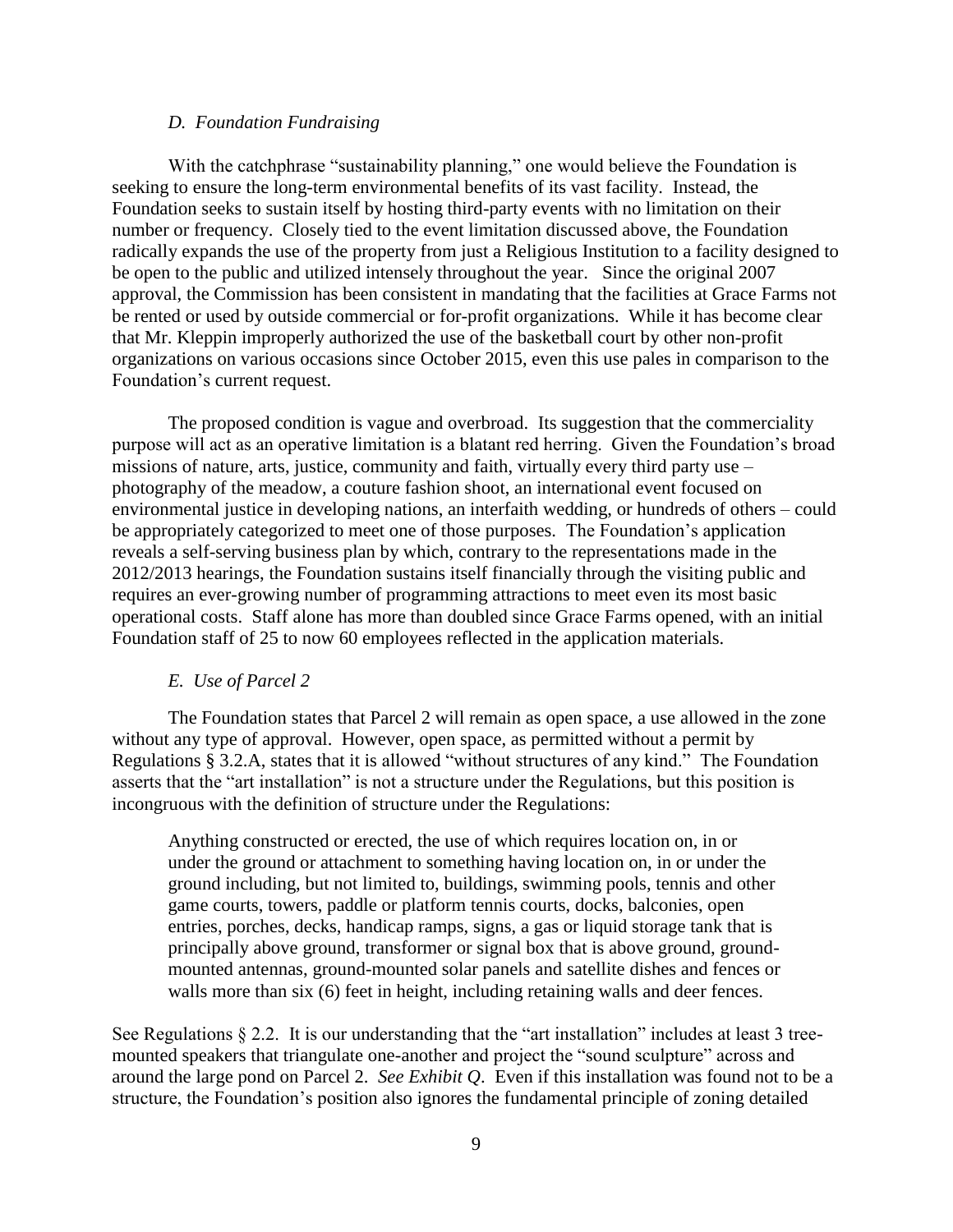#### *D. Foundation Fundraising*

With the catchphrase "sustainability planning," one would believe the Foundation is seeking to ensure the long-term environmental benefits of its vast facility. Instead, the Foundation seeks to sustain itself by hosting third-party events with no limitation on their number or frequency. Closely tied to the event limitation discussed above, the Foundation radically expands the use of the property from just a Religious Institution to a facility designed to be open to the public and utilized intensely throughout the year. Since the original 2007 approval, the Commission has been consistent in mandating that the facilities at Grace Farms not be rented or used by outside commercial or for-profit organizations. While it has become clear that Mr. Kleppin improperly authorized the use of the basketball court by other non-profit organizations on various occasions since October 2015, even this use pales in comparison to the Foundation's current request.

The proposed condition is vague and overbroad. Its suggestion that the commerciality purpose will act as an operative limitation is a blatant red herring. Given the Foundation's broad missions of nature, arts, justice, community and faith, virtually every third party use – photography of the meadow, a couture fashion shoot, an international event focused on environmental justice in developing nations, an interfaith wedding, or hundreds of others – could be appropriately categorized to meet one of those purposes. The Foundation's application reveals a self-serving business plan by which, contrary to the representations made in the 2012/2013 hearings, the Foundation sustains itself financially through the visiting public and requires an ever-growing number of programming attractions to meet even its most basic operational costs. Staff alone has more than doubled since Grace Farms opened, with an initial Foundation staff of 25 to now 60 employees reflected in the application materials.

#### *E. Use of Parcel 2*

The Foundation states that Parcel 2 will remain as open space, a use allowed in the zone without any type of approval. However, open space, as permitted without a permit by Regulations § 3.2.A, states that it is allowed "without structures of any kind." The Foundation asserts that the "art installation" is not a structure under the Regulations, but this position is incongruous with the definition of structure under the Regulations:

Anything constructed or erected, the use of which requires location on, in or under the ground or attachment to something having location on, in or under the ground including, but not limited to, buildings, swimming pools, tennis and other game courts, towers, paddle or platform tennis courts, docks, balconies, open entries, porches, decks, handicap ramps, signs, a gas or liquid storage tank that is principally above ground, transformer or signal box that is above ground, groundmounted antennas, ground-mounted solar panels and satellite dishes and fences or walls more than six (6) feet in height, including retaining walls and deer fences.

See Regulations § 2.2. It is our understanding that the "art installation" includes at least 3 treemounted speakers that triangulate one-another and project the "sound sculpture" across and around the large pond on Parcel 2. *See Exhibit Q*. Even if this installation was found not to be a structure, the Foundation's position also ignores the fundamental principle of zoning detailed